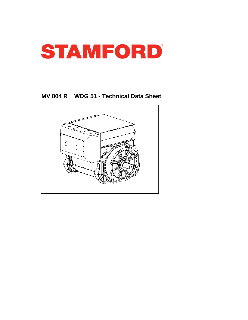

**MV 804 R WDG 51 - Technical Data Sheet**

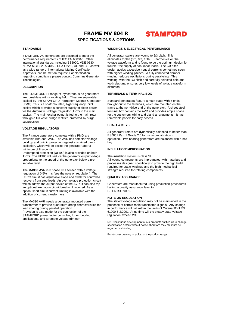## FRAME MV 804 R **SPECIFICATIONS & OPTIONS**

## **STAMFORD**

### **STANDARDS**

STAMFORD AC generators are designed to meet the performance requirements of IEC EN 60034-1. Other international standards, including BS5000, VDE 0530, NEMA MG1-32, AS1359, CSA C22.2, UL and CE; as well as a wide range of international Marine Certification Approvals, can be met on request. For clarification regarding compliance please contact Cummins Generator Technologies.

#### **DESCRIPTION**

The STAMFORD PI range of synchronous ac generators are brushless with a rotating field. They are separately excited by the STAMFORD Permanent Magnet Generator (PMG). This is a shaft mounted, high frequency, pilot exciter which provides a constant supply of clean power via the Automatic Voltage Regulator (AVR) to the main exciter. The main exciter output is fed to the main rotor. through a full wave bridge rectifier, protected by surge suppression.

#### **VOLTAGE REGULATORS**

The P range generators complete with a PMG are available with one AVR. The AVR has soft start voltage build up and built in protection against sustained overexcitation, which will de-excite the generator after a minimum of 8 seconds.

Underspeed protection (UFRO) is also provided on both AVRs. The UFRO will reduce the generator output voltage proportional to the speed of the generator below a presettable level.

The **MA330 AVR** is 3 phase rms sensed with a voltage regulation of 0.5% rms (see the note on regulation). The UFRO circuit has adjustable slope and dwell for controlled recovery from step loads. An over voltage protection circuit will shutdown the output device of the AVR, it can also trip an optional excitation circuit breaker if required. As an option, short circuit current limiting is available with the addition of current transformers.

The MA330 AVR needs a generator mounted current transformer to provide quadrature droop characteristics for load sharing during parallel operation. Provision is also made for the connection of the STAMFORD power factor controller, for embedded applications, and a remote voltage trimmer.

### **WINDINGS & ELECTRICAL PERFORMANCE**

All generator stators are wound to 2/3 pitch. This eliminates triplen (3rd, 9th, 15th …) harmonics on the voltage waveform and is found to be the optimum design for trouble-free supply of non-linear loads. The 2/3 pitch design avoids excessive neutral currents sometimes seen with higher winding pitches. A fully connected damper winding reduces oscillations during paralleling. This winding, with the 2/3 pitch and carefully selected pole and tooth designs, ensures very low levels of voltage waveform distortion.

#### **TERMINALS & TERMINAL BOX**

Standard generators feature a main stator with 6 ends brought out to the terminals, which are mounted on the frame at the non-drive end of the generator. A sheet steel terminal box contains the AVR and provides ample space for the customers' wiring and gland arrangements. It has removable panels for easy access.

#### **SHAFT & KEYS**

All generator rotors are dynamically balanced to better than BS6861:Part 1 Grade 2.5 for minimum vibration in operation. Two bearing generators are balanced with a half key.

### **INSULATION/IMPREGNATION**

The insulation system is class 'H. All wound components are impregnated with materials and processes designed specifically to provide the high build required for static windings and the high mechanical strength required for rotating components.

#### **QUALITY ASSURANCE**

Generators are manufactured using production procedures having a quality assurance level to BS EN ISO 9001.

#### **NOTE ON REGULATION**

The stated voltage regulation may not be maintained in the presence of certain radio transmitted signals. Any change in performance will fall within the limits of Criteria 'B' of EN 61000-6-2:2001. At no time will the steady-state voltage regulation exceed 2%.

NB Continuous development of our products entitles us to change specification details without notice, therefore they must not be regarded as binding.

Front cover drawing is typical of the product range.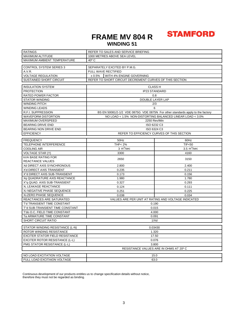## **FRAME MV 804 R WINDING 51**

## **STAMFORD**

| <b>RATINGS</b>                             | REFER TO SALES AND SERVICE BRIEFING                       |                                                                                |  |
|--------------------------------------------|-----------------------------------------------------------|--------------------------------------------------------------------------------|--|
| MAXIMUM ALTITUDE                           | 1000 METRES ABOVE SEA LEVEL                               |                                                                                |  |
| MAXIMUM AMBIENT TEMPERATURE                | 40° C                                                     |                                                                                |  |
| <b>CONTROL SYSTEM SERIES 3</b>             | SEPARATELY EXCITED BY P.M.G.                              |                                                                                |  |
| A.V.R.                                     | FULL WAVE RECTIFIED                                       |                                                                                |  |
| <b>VOLTAGE REGULATION</b>                  | WITH 4% ENGINE GOVERNING<br>± 0.5%                        |                                                                                |  |
| <b>SUSTAINED SHORT CIRCUIT</b>             | REFER TO SHORT CIRCUIT DECREMENT CURVES OF THIS SECTION   |                                                                                |  |
|                                            |                                                           |                                                                                |  |
| <b>INSULATION SYSTEM</b>                   | <b>CLASS H</b>                                            |                                                                                |  |
| <b>PROTECTION</b>                          | <b>IP23 STANDARD</b>                                      |                                                                                |  |
| <b>RATED POWER FACTOR</b>                  | 0.8                                                       |                                                                                |  |
| <b>STATOR WINDING</b>                      | DOUBLE LAYER LAP                                          |                                                                                |  |
| WINDING PITCH                              | 2/3                                                       |                                                                                |  |
| <b>WINDING LEADS</b>                       | 6                                                         |                                                                                |  |
| R.F.I. SUPPRESSION                         |                                                           | BS EN 50081/2-1/2 VDE 0875G VDE 0875N For other standards apply to the factory |  |
| <b>WAVEFORM DISTORTION</b>                 | NO LOAD < 1.5% NON-DISTORTING BALANCED LINEAR LOAD < 3.0% |                                                                                |  |
| MAXIMUM OVERSPEED                          | 2250 Rev/Min                                              |                                                                                |  |
| <b>BEARING DRIVE END</b>                   | ISO 6232 C3                                               |                                                                                |  |
| BEARING NON DRIVE END                      | ISO 6324 C3                                               |                                                                                |  |
| <b>EFFICIENCY</b>                          | REFER TO EFFICIENCY CURVES OF THIS SECTION                |                                                                                |  |
| <b>FREQUENCY</b>                           | 50Hz                                                      | 60Hz                                                                           |  |
| <b>TELEPHONE INTERFERENCE</b>              | <b>THF&lt;2%</b>                                          | <b>TIF&lt;50</b>                                                               |  |
| <b>COOLING AIR</b>                         | 3 m <sup>3</sup> /sec                                     | 3.5 $m^3$ /sec                                                                 |  |
| <b>VOLTAGE STAR (Y)</b>                    | 3300                                                      | 4160                                                                           |  |
| <b>kVA BASE RATING FOR</b>                 |                                                           |                                                                                |  |
| REACTANCE VALUES                           | 2650                                                      | 3150                                                                           |  |
| Xd DIRECT AXIS SYNCHRONOUS                 | 2.800                                                     | 2.400                                                                          |  |
| X'd DIRECT AXIS TRANSIENT                  | 0.235                                                     | 0.211                                                                          |  |
| X"d DIRECT AXIS SUB-TRANSIENT              | 0.173                                                     | 0.156                                                                          |  |
| Xq QUADRATURE AXIS REACTANCE               | 1.980<br>1.780                                            |                                                                                |  |
| X"q QUAD. AXIS SUB-TRANSIENT               | 0.293<br>0.327                                            |                                                                                |  |
| XL LEAKAGE REACTANCE                       | 0.124<br>0.111                                            |                                                                                |  |
| X <sub>2</sub> NEGATIVE PHASE SEQUENCE     | 0.251                                                     | 0.225                                                                          |  |
| X <sub>0</sub> ZERO PHASE SEQUENCE         | 0.034<br>0.038                                            |                                                                                |  |
| REACTANCES ARE SATURATED                   | VALUES ARE PER UNIT AT RATING AND VOLTAGE INDICATED       |                                                                                |  |
| T'd TRANSIENT TIME CONSTANT                | 0.190                                                     |                                                                                |  |
| T"d SUB-TRANSIENT TIME CONSTANT            | 0.015                                                     |                                                                                |  |
| T'do O.C. FIELD TIME CONSTANT              | 4.000                                                     |                                                                                |  |
| Ta ARMATURE TIME CONSTANT                  | 0.091                                                     |                                                                                |  |
| <b>SHORT CIRCUIT RATIO</b>                 | 1/Xd                                                      |                                                                                |  |
| STATOR WINDING RESISTANCE (L-N)<br>0.03430 |                                                           |                                                                                |  |
| ROTOR WINDING RESISTANCE                   | 1.320                                                     |                                                                                |  |
| EXCITER STATOR FIELD RESISTANCE            | 17.50                                                     |                                                                                |  |
| <b>EXCITER ROTOR RESISTANCE (L-L)</b>      | 0.076                                                     |                                                                                |  |
| PMG STATOR RESISTANCE (L-L)                | 3.800                                                     |                                                                                |  |
| RESISTANCE VALUES ARE IN OHMS AT 20° C     |                                                           |                                                                                |  |
|                                            |                                                           |                                                                                |  |
| NO LOAD EXCITATION VOLTAGE                 | 15.0                                                      |                                                                                |  |
| FULL LOAD EXCITAION VOLTAGE                | 63.0                                                      |                                                                                |  |

Continuous development of our products entitles us to change specification details without notice, therefore they must not be regarded as binding.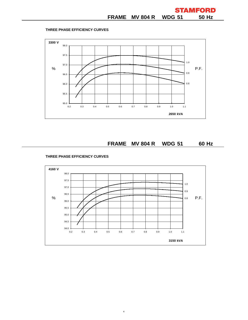## **THREE PHASE EFFICIENCY CURVES**

**FRAME MV 804 R WDG 51 60 Hz**

## **THREE PHASE EFFICIENCY CURVES**



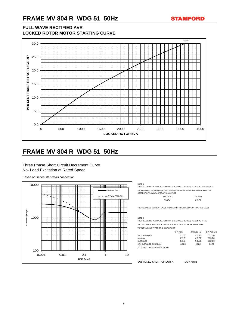# **FRAME MV 804 R WDG 51 50Hz**



## **FULL WAVE RECTIFIED AVR LOCKED ROTOR MOTOR STARTING CURVE**

# **FRAME MV 804 R WDG 51 50Hz**

Three Phase Short Circuit Decrement Curve No- Load Excitation at Rated Speed

Based on series star (wye) connection

THE FOLLOWING MULTIPLICATION FACTORS SHOULD BE USED TO ADJUST THE VALUES FROM CURVES BETWEEN THE 0.001 SECONDS AND THE MINIMUM CURRENT POINT IN RESPECT OF NOMINAL OPERATING VOLTAGE

| <b>VOLTAGE</b> | <b>FACTOR</b> |
|----------------|---------------|
| 3300V          | $X$ 1.00      |

THE SUSTAINED CURRENT VALUE IS CONSTANT IRRESPECTIVE OF VOLTAGE LEVEL

NOTE 2

THE FOLLOWING MULTIPLICATION FACTORS SHOULD BE USED TO CONVERT THE VALUES CALCULATED IN ACCORDANCE WITH NOTE 1 TO THOSE APPLICABLE



TO THE VARIOUS TYPES OF SHORT CIRCUIT

|                        | 3 PHASE | 2 PHASE L-L | 1 PHASE L-N |
|------------------------|---------|-------------|-------------|
| <b>INSTANTANEOUS</b>   | $X$ 1.0 | X 0.87      | X 1.30      |
| <b>MINIMUM</b>         | $X$ 1.0 | X 1.80      | $X$ 3.20    |
| <b>SUSTAINED</b>       | $X$ 1.0 | X 1.50      | X 2.50      |
| MAX SUSTAINED DURATION | 10 SEC  | 5 SEC       | 2 SEC       |

ALL OTHER TIMES ARE UNCHANGED

SUSTAINED SHORT CIRCUIT = 1437 Amps

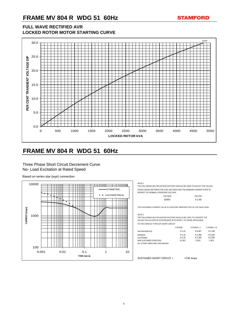

# **FRAME MV 804 R WDG 51 60Hz**

## **FULL WAVE RECTIFIED AVR LOCKED ROTOR MOTOR STARTING CURVE**

# **FRAME MV 804 R WDG 51 60Hz**

Three Phase Short Circuit Decrement Curve No- Load Excitation at Rated Speed

Based on series star (wye) connection

THE FOLLOWING MULTIPLICATION FACTORS SHOULD BE USED TO ADJUST THE VALUES FROM CURVES BETWEEN THE 0.001 SECONDS AND THE MINIMUM CURRENT POINT IN RESPECT OF NOMINAL OPERATING VOLTAGE

| $V - I N - L$ | 1701   |
|---------------|--------|
| 4160V         | X 1.00 |

THE SUSTAINED CURRENT VALUE IS CONSTANT IRRESPECTIVE OF VOLTAGE LEVEL

NOTE 2

THE FOLLOWING MULTIPLICATION FACTORS SHOULD BE USED TO CONVERT THE VALUES CALCULATED IN ACCORDANCE WITH NOTE 1 TO THOSE APPLICABLE



### TO THE VARIOUS TYPES OF SHORT CIRCUIT

|                               | 3 PHASE  | 2 PHASE L-L | 1 PHASE L-N |
|-------------------------------|----------|-------------|-------------|
| <b>INSTANTANEOUS</b>          | $X$ 1.0  | X 0.87      | X 1.30      |
| <b>MINIMUM</b>                | $X$ 1.0  | X 1.80      | X 3.20      |
| <b>SUSTAINED</b>              | $X$ 1.0  | X 1.50      | $X$ 2.50    |
| <b>MAX SUSTAINED DURATION</b> | $10$ SEC | 5 SEC       | 2 SEC       |
| ALL OTHER TIMES ARE UNCHANGED |          |             |             |

SUSTAINED SHORT CIRCUIT = 1749 Amps